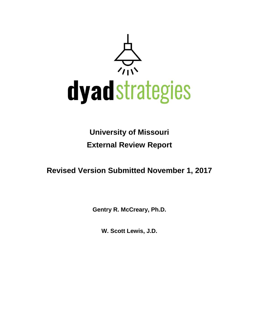

# **University of Missouri External Review Report**

**Revised Version Submitted November 1, 2017**

**Gentry R. McCreary, Ph.D.**

**W. Scott Lewis, J.D.**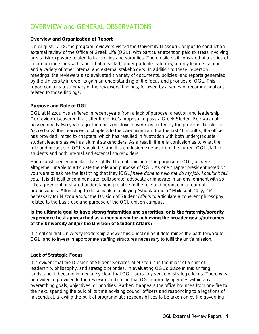# OVERVIEW and GENERAL OBSERVATIONS

### Overview and Organization of Report

On August 17-18, the program reviewers visited the University Missouri Campus to conduct an external review of the Office of Greek Life (OGL), with particular attention paid to areas involving areas risk exposure related to fraternities and sororities. The on-site visit consisted of a series of in-person meetings with student affairs staff, undergraduate fraternity/sorority leaders, alumni, and a variety of other internal and external stakeholders. In addition to these in-person meetings, the reviewers also evaluated a variety of documents, policies, and reports generated by the University in order to gain an understanding of the focus and priorities of OGL. This report contains a summary of the reviewers' findings, followed by a series of recommendations related to those findings.

### Purpose and Role of OGL

OGL at Mizzou has suffered in recent years from a lack of purpose, direction and leadership. Our review discovered that, after the office's proposal to pass a Greek Student Fee was not passed nearly two years ago, the unit's employees were instructed by the previous director to "scale back" their services to chapters to the bare minimum. For the last 18 months, the office has provided limited to chapters, which has resulted in frustration with both undergraduate student leaders as well as alumni stakeholders. As a result, there is confusion as to what the role and purpose of OGL should be, and this confusion extends from the current OGL staff to students and both internal and external stakeholders.

Each constituency articulated a slightly different opinion of the purpose of OGL, or were altogether unable to articulate the role and purpose of OGL. As one chapter president noted *"If you were to ask me the last thing that they [OGL] have done to help me do my job, I couldn't tell*  **you.**" It is difficult to communicate, collaborate, advocate or innovate in an environment with so little agreement or shared understanding relative to the role and purpose of a team of professionals. Attempting to do so is akin to playing "whack-a-mole." Philosophically, it is necessary for Mizzou and/or the Division of Student Affairs to articulate a coherent philosophy related to the basic use and purpose of the OGL unit on campus.

Is the ultimate goal to have strong fraternities and sororities, or is the fraternity/sorority experience best approached as a mechanism for achieving the broader goals/outcomes of the University and/or the Division of Student Affairs?

It is critical that University leadership answer this question as it determines the path forward for OGL, and to invest in appropriate staffing structures necessary to fulfil the unit's mission.

### Lack of Strategic Focus

It is evident that the Division of Student Services at Mizzou is in the midst of a shift of leadership, philosophy, and strategic priorities. In evaluating OGL's place in this shifting landscape, it became immediately clear that OGL lacks any sense of strategic focus. There was no evidence provided to the reviewers indicating that OGL currently operates within any overarching goals, objectives, or priorities. Rather, it appears the office bounces from one fire to the next, spending the bulk of its time advising council officers and responding to allegations of misconduct, allowing the bulk of programmatic responsibilities to be taken on by the governing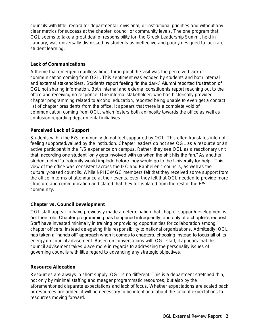councils with little regard for departmental, divisional, or institutional priorities and without any clear metrics for success at the chapter, council or community levels. The one program that OGL seems to take a great deal of responsibility for, the Greek Leadership Summit held in January, was universally dismissed by students as ineffective and poorly designed to facilitate student learning.

### Lack of Communications

A theme that emerged countless times throughout the visit was the perceived lack of communication coming from OGL. This sentiment was echoed by students and both internal and external stakeholders. Students report feeling "in the dark." Alumni reported frustration of OGL not sharing information. Both internal and external constituents report reaching out to the office and receiving no response. One internal stakeholder, who has historically provided chapter programming related to alcohol education, reported being unable to even get a contact list of chapter presidents from the office. It appears that there is a complete void of communication coming from OGL, which fosters both animosity towards the office as well as confusion regarding departmental initiatives.

### Perceived Lack of Support

Students within the F/S community do not feel supported by OGL. This often translates into not feeling supported/valued by the institution. Chapter leaders do not see OGL as a resource or an active participant in the F/S experience on campus. Rather, they see OGL as a reactionary unit that, according one student "only gets involved with us when the shit hits the fan." As another student noted "a fraternity would implode before they would go to the University for help." This view of the office was consistent across the IFC and Panhellenic councils, as well as the culturally-based councils. While NPHC/MGC members felt that they received some support from the office in terms of attendance at their events, even they felt that OGL needed to provide more structure and communication and stated that they felt isolated from the rest of the F/S community.

#### Chapter vs. Council Development

OGL staff appear to have previously made a determination that chapter support/development is not their role. Chapter programming has happened infrequently, and only at a chapter's request. Staff have invested minimally in training or providing opportunities for collaboration among chapter officers, instead delegating this responsibility to national organizations. Admittedly, OGL has taken a "hands off" approach when it comes to chapters, choosing instead to focus all of its energy on council advisement. Based on conversations with OGL staff, it appears that this council advisement takes place more in regards to addressing the personality issues of governing councils with little regard to advancing any strategic objectives.

#### Resource Allocation

Resources are always in short supply. OGL is no different. This is a department stretched thin, not only by minimal staffing and meager programmatic resources, but also by the aforementioned disparate expectations and lack of focus. Whether expectations are scaled back or resources are added, it will be necessary to be intentional about the ratio of expectations to resources moving forward.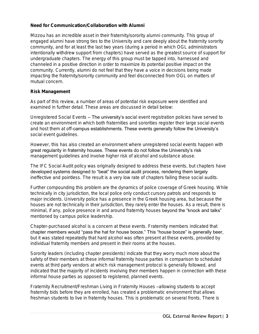### Need for Communication/Collaboration with Alumni

Mizzou has an incredible asset in their fraternity/sorority alumni community. This group of engaged alumni have strong ties to the University and care deeply about the fraternity sorority community, and for at least the last two years (during a period in which OGL administrators intentionally withdrew support from chapters) have served as the greatest source of support for undergraduate chapters. The energy of this group must be tapped into, harnessed and channeled in a positive direction in order to maximize its potential positive impact on the community. Currently, alumni do not feel that they have a voice in decisions being made impacting the fraternity/sorority community and feel disconnected from OGL on matters of mutual concern.

#### Risk Management

As part of this review, a number of areas of potential risk exposure were identified and examined in further detail. These areas are discussed in detail below:

*Unregistered Social Events –* The university's social event registration policies have served to create an environment in which both fraternities and sororities register their large social events and host them at off-campus establishments. These events generally follow the University's social event guidelines.

However, this has also created an environment where unregistered social events happen with great regularity in fraternity houses. These events do not follow the University's risk management guidelines and involve higher risk of alcohol and substance abuse.

The IFC Social Audit policy was originally designed to address these events, but chapters have developed systems designed to "beat" the social audit process, rendering them largely ineffective and pointless. The result is a very low rate of chapters failing these social audits.

Further compounding this problem are the dynamics of police coverage of Greek housing. While technically in city jurisdiction, the local police only conduct cursory patrols and responds to major incidents. University police has a presence in the Greek housing area, but because the houses are not technically in their jurisdiction, they rarely enter the houses. As a result, there is minimal, if any, police presence in and around fraternity houses beyond the "knock and talks" mentioned by campus police leadership.

Chapter-purchased alcohol is a concern at these events. Fraternity members indicated that chapter members would "pass the hat for house booze." This "house booze" is generally beer, but it was stated repeatedly that hard alcohol was often present at these events, provided by individual fraternity members and present in their rooms at the houses.

Sorority leaders (including chapter presidents) indicate that they worry much more about the safety of their members at these informal fraternity house parties in comparison to scheduled events at third party vendors at which risk management protocol is generally followed, and indicated that the majority of incidents involving their members happen in connection with these informal house parties as opposed to registered, planned events.

*Fraternity Recruitment/Freshman Living in Fraternity Houses-allowing students to accept* fraternity bids before they are enrolled, has created a problematic environment that allows freshman students to live in fraternity houses. This is problematic on several fronts. There is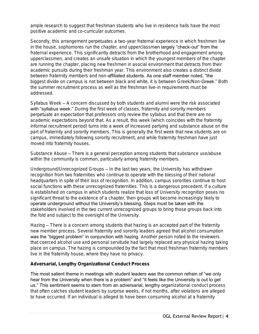ample research to suggest that freshman students who live in residence halls have the most positive academic and co-curricular outcomes.

Secondly, this arrangement perpetuates a two-year fraternal experience in which freshmen live in the house, sophomores run the chapter, and upperclassmen largely "check-out" from the fraternal experience. This significantly detracts from the brotherhood and engagement among upperclassmen, and creates an unsafe situation in which the youngest members of the chapter are running the chapter, placing new freshmen in asocial environment that detracts from their academic pursuits during their freshman year. This environment also creates a distinct divide between fraternity members and non-affiliated students. As one staff member noted, "the biggest divide on campus is not between black and white, it is between Greek/Non-Greek." Both the summer recruitment process as well as the freshman live-in requirements must be addressed.

*Syllabus Week* – A concern discussed by both students and alumni were the risk associated with "syllabus week." During the first week of classes, fraternity and sorority members perpetuate an expectation that professors only review the syllabus and that there are no academic expectations beyond that. As a result, this week (which coincides with the fraternity informal recruitment period) turns into a week of increased partying and substance abuse on the part of fraternity and sorority members. This is generally the first week that new students are on campus, immediately following sorority recruitment, and while fraternity freshman have just moved into fraternity houses.

*Substance Abuse –* There is a general perception among students that substance use/abuse within the community is common, particularly among fraternity members.

*Underground/Unrecognized Groups –* In the last two years, the University has withdrawn recognition from two fraternities who continue to operate with the blessing of their national headquarters in spite of their loss of recognition. In addition, campus sororities continue to host social functions with these unrecognized fraternities. This is a dangerous precedent. If a culture is established on campus in which students realize that loss of University recognition poses no significant threat to the existence of a chapter, then groups will become increasingly likely to operate underground without the University's blessing. Steps must be taken with the stakeholders involved in the two current unrecognized groups to bring those groups back into the fold and subject to the oversight of the University.

*Hazing –* There is a concern among students that hazing is an accepted part of the fraternity new member process. Several fraternity and sorority leaders agreed that alcohol consumption was the "biggest problem" in conjunction with hazing. Another person noted to the reviewers that coerced alcohol use and personal servitude had largely replaced any physical hazing taking place on campus. The hazing is compounded by the fact that most freshman fraternity members live in the fraternity house, where they have no privacy.

Adversarial, Lengthy Organizational Conduct Process

The most salient theme in meetings with student leaders was the common refrain of "we only hear from the University when there is a problem" and "it feels like the University is out to get us." This sentiment seems to stem from an adversarial, lengthy organizational conduct process that often catches student leaders by surprise weeks, if not months, after violations are alleged to have occurred. If an individual is alleged to have been consuming alcohol at a fraternity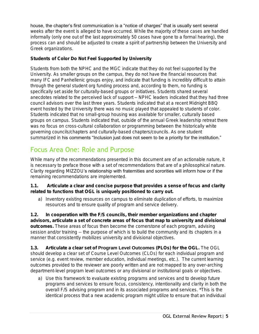house, the chapter's first communication is a "notice of charges" that is usually sent several weeks after the event is alleged to have occurred. While the majority of these cases are handled informally (only one out of the last approximately 50 cases have gone to a formal hearing), the process can and should be adjusted to create a spirit of partnership between the University and Greek organizations.

### Students of Color Do Not Feel Supported by University

Students from both the NPHC and the MGC indicate that they do not feel supported by the University. As smaller groups on the campus, they do not have the financial resources that many IFC and Panhellenic groups enjoy, and indicate that funding is incredibly difficult to attain through the general student org funding process and, according to them, no funding is specifically set aside for culturally-based groups or initiatives. Students shared several anecdotes related to the perceived lack of support – NPHC leaders indicated that they had three council advisors over the last three years. Students indicated that at a recent Midnight BBQ event hosted by the University there was no music played that appealed to students of color. Students indicated that no small-group housing was available for smaller, culturally based groups on campus. Students indicated that, outside of the annual Greek leadership retreat there was no focus on cross-cultural collaboration or programming between the historically white governing councils/chapters and culturally-based chapters/councils. As one student summarized in his comments "Inclusion just does not seem to be a priority for the institution."

### Focus Area One: Role and Purpose

While many of the recommendations presented in this document are of an actionable nature, it is necessary to preface those with a set of recommendations that are of a philosophical nature. Clarity regarding MIZZOU's relationship with fraternities and sororities will inform how or if the remaining recommendations are implemented.

1.1. Articulate a clear and concise purpose that provides a sense of focus and clarity related to functions that OGL is uniquely positioned to carry out.

a) Inventory existing resources on campus to eliminate duplication of efforts, to maximize resources and to ensure quality of program and service delivery.

1.2. In cooperation with the F/S councils, their member organizations and chapter advisors, articulate a set of concrete areas of focus that map to university and divisional outcomes. These areas of focus then become the cornerstone of each program, advising session and/or training -- the purpose of which is to build the community and its chapters in a manner that consistently mobilizes university and divisional objectives.

1.3. Articulate a clear set of *Program Level Outcomes* (PLOs) for the OGL. The OGL should develop a clear set of *Course Level Outcomes* (CLOs) for each individual program and service (e.g. event review, member education, individual meetings, etc.). The current learning outcomes provided to the reviewer are poorly written and are not mapped to any over-arching department-level program level outcomes or any divisional or institutional goals or objectives.

*a)* Use this framework to evaluate existing programs and services and to develop future programs and services to ensure focus, consistency, intentionality and clarity in both the overall F/S advising program and in its associated programs and services. *\*This is the identical process that a new academic program might utilize to ensure that an individual*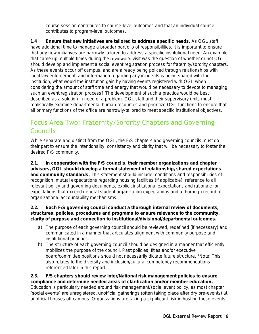*course session contributes to course-level outcomes and that an individual course contributes to program-level outcomes.* 

1.4 Ensure that new initiatives are tailored to address specific needs. As OGL staff have additional time to manage a broader portfolio of responsibilities, it is important to ensure that any new initiatives are narrowly tailored to address a specific institutional need. An example that came up multiple times during the reviewer's visit was the question of whether or not OGL should develop and implement a social event registration process for fraternity/sorority chapters. As these events occur off campus, and are already being policed through relationships with local law enforcement, and information regarding any incidents is being shared with the institution, what would the institution gain by having events registered with OGL when considering the amount of staff time and energy that would be necessary to devote to managing such an event registration process? The development of such a practice would be best described as a solution in need of a problem. OGL staff and their supervisory units must realistically examine departmental human resources and prioritize OGL functions to ensure that all primary functions of the office are narrowly-tailored to meet specific institutional objectives.

# Focus Area Two: Fraternity/Sorority Chapters and Governing Councils

While separate and distinct from the OGL, the F/S chapters and governing councils must do their part to ensure the intentionality, consistency and clarity that will be necessary to foster the desired F/S community.

2.1. In cooperation with the F/S councils, their member organizations and chapter advisors, OGL should develop a formal statement of relationship, shared expectations and community standards. This statement should include: conditions and responsibilities of recognition, mutual expectations regarding housing facilities (if applicable), reference to all relevant policy and governing documents, explicit institutional expectations and rationale for expectations that exceed general student organization expectations and a thorough record of organizational accountability mechanisms.

2.2. Each F/S governing council conduct a thorough internal review of documents, structures, policies, procedures and programs to ensure relevance to the community, clarity of purpose and connection to institutional/divisional/departmental outcomes.

- a) The purpose of each governing council should be reviewed, redefined (if necessary) and communicated in a manner that articulates alignment with community purpose and institutional priorities.
- b) The structure of each governing council should be designed in a manner that efficiently mobilizes the purpose of the council. Past policies, titles and/or executive board/committee positions should not necessarily dictate future structure. *\*Note: This also relates to the diversity and inclusion/cultural competency recommendations referenced later in this report.*

2.3. F/S chapters should review Inter/National risk management policies to ensure compliance and determine needed areas of clarification and/or member education. Education is particularly needed around risk management/social event policy, as most chapter "social events" are unregistered, unofficial gatherings (often taking place after dry pre-events) at unofficial houses off campus. Organizations are taking a significant risk in hosting these events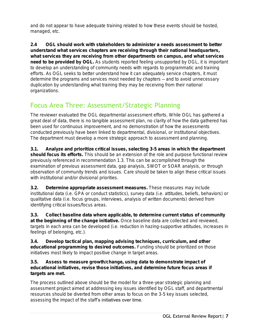and do not appear to have adequate training related to how these events should be hosted, managed, etc.

2.4 OGL should work with stakeholders to administer a needs assessment to better understand what services chapters are receiving through their national headquarters, what services they are receiving from other departments on campus, and what services need to be provided by OGL. As students reported feeling unsupported by OGL, it is important to develop an understanding of community needs with regards to programmatic and training efforts. As OGL seeks to better understand how it can adequately service chapters, it must determine the programs and services most needed by chapters – and to avoid unnecessary duplication by understanding what training they may be receiving from their national organizations.

### Focus Area Three: Assessment/Strategic Planning

The reviewer evaluated the OGL departmental assessment efforts. While OGL has gathered a great deal of data, there is no tangible assessment plan, no clarity of how the data gathered has been used for continuous improvement, and no demonstration of how the assessments conducted previously have been linked to departmental, divisional, or institutional objectives. The department must develop a more strategic approach to assessment and planning.

3.1. Analyze and prioritize critical issues, selecting 3-5 areas in which the department should focus its efforts. This should be an extension of the role and purpose functional review previously referenced in recommendation 1.3. This can be accomplished through the examination of previous assessment data, gap analysis, SWOT or SOAR analysis, or through observation of community trends and issues. Care should be taken to align these critical issues with institutional and/or divisional priorities.

3.2. Determine appropriate assessment measures. These measures may include institutional data (i.e. GPA or conduct statistics), survey data (i.e. attitudes, beliefs, behaviors) or qualitative data (i.e. focus groups, interviews, analysis of written documents) derived from identifying critical issues/focus areas.

3.3. Collect baseline data where applicable, to determine current status of community at the beginning of the change initiative. Once baseline data are collected and reviewed, targets in each area can be developed (i.e. reduction in hazing-supportive attitudes, increases in feelings of belonging, etc.).

3.4. Develop tactical plan, mapping advising techniques, curriculum, and other educational programming to desired outcomes. Funding should be prioritized on those initiatives most likely to impact positive change in target areas.

3.5. Assess to measure growth/change, using data to demonstrate impact of educational initiatives, revise those initiatives, and determine future focus areas if targets are met.

The process outlined above should be the model for a three-year strategic planning and assessment project aimed at addressing key issues identified by OGL staff, and departmental resources should be diverted from other areas to focus on the 3-5 key issues selected, assessing the impact of the staff's initiatives over time.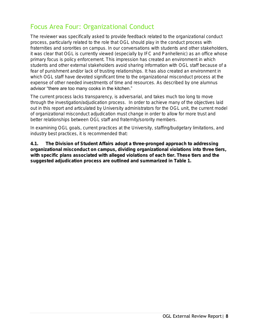### Focus Area Four: Organizational Conduct

The reviewer was specifically asked to provide feedback related to the organizational conduct process, particularly related to the role that OGL should play in the conduct process with fraternities and sororities on campus. In our conversations with students and other stakeholders, it was clear that OGL is currently viewed (especially by IFC and Panhellenic) as an office whose primary focus is policy enforcement. This impression has created an environment in which students and other external stakeholders avoid sharing information with OGL staff because of a fear of punishment and/or lack of trusting relationships. It has also created an environment in which OGL staff have devoted significant time to the organizational misconduct process at the expense of other needed investments of time and resources. As described by one alumnus advisor "there are too many cooks in the kitchen."

The current process lacks transparency, is adversarial, and takes much too long to move through the investigation/adjudication process. In order to achieve many of the objectives laid out in this report and articulated by University administrators for the OGL unit, the current model of organizational misconduct adjudication must change in order to allow for more trust and better relationships between OGL staff and fraternity/sorority members.

In examining OGL goals, current practices at the University, staffing/budgetary limitations, and industry best practices, it is recommended that:

4.1. The Division of Student Affairs adopt a three-pronged approach to addressing organizational misconduct on campus, dividing organizational violations into three tiers, with specific plans associated with alleged violations of each tier. These tiers and the suggested adjudication process are outlined and summarized in Table 1.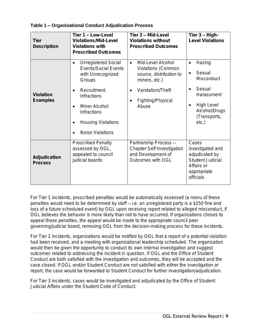### *Table 1 – Organizational Conduct Adjudication Process*

| Tier<br>Description     | Tier 1 - Low-Level<br>Violations/Mid-Level<br>Violations with<br><b>Proscribed Outcomes</b>                                                                                                                                                           | Tier 2 - Mid-Level<br>Violations without<br><b>Proscribed Outcomes</b>                                                                            | Tier $3 - High-$<br>Level Violations                                                                                                                                  |
|-------------------------|-------------------------------------------------------------------------------------------------------------------------------------------------------------------------------------------------------------------------------------------------------|---------------------------------------------------------------------------------------------------------------------------------------------------|-----------------------------------------------------------------------------------------------------------------------------------------------------------------------|
| Violation<br>Examples   | <b>Unregistered Social</b><br>$\bullet$<br><b>Events/Social Events</b><br>with Unrecognized<br>Groups<br>Recruitment<br><b>Infractions</b><br>Minor Alcohol<br>$\bullet$<br>Infractions<br><b>Housing Violations</b><br>$\bullet$<br>Noise Violations | Mid-Level Alcohol<br>$\bullet$<br>Violations (Common<br>source, distribution to<br>minors, etc.)<br>Vandalism/Theft<br>Fighting/Physical<br>Abuse | Hazing<br>$\bullet$<br>Sexual<br>$\bullet$<br>Misconduct<br>Sexual<br>$\bullet$<br>Harassment<br>High Level<br>$\bullet$<br>Alcohol/Drugs<br>(Transports,<br>$etc.$ ) |
| Adjudication<br>Process | <b>Proscribed Penalty</b><br>assessed by OGL,<br>appealed to council<br>judicial boards                                                                                                                                                               | Partnership Process-<br>Chapter Self-Investigation<br>and Development of<br>Outcomes with OGL                                                     | Cases<br>investigated and<br>adjudicated by<br>Student Judicial<br>Affairs or<br>appropriate<br>officials                                                             |

For Tier 1 incidents, proscribed penalties would be automatically assessed (a menu of these penalties would need to be determined by staff – i.e. an unregistered party is a \$250 fine and loss of a future scheduled event) by OGL upon receiving report related to alleged misconduct, if OGL believes the behavior is more likely than not to have occurred. If organizations choses to appeal those penalties, the appeal would be made to the appropriate council peer governing/judicial board, removing OGL from the decision-making process for these incidents.

For Tier 2 incidents, organizations would be notified by OGL that a report of a potential violation had been received, and a meeting with organizational leadership scheduled. The organization would then be given the opportunity to conduct its own internal investigation and suggest outcomes related to addressing the incident in question. If OGL and the Office of Student Conduct are both satisfied with the investigation and outcomes, they will be accepted and the case closed. If OGL and/or Student Conduct are not satisfied with either the investigation or report, the case would be forwarded to Student Conduct for further investigation/adjudication.

For Tier 3 incidents, cases would be investigated and adjudicated by the Office of Student Judicial Affairs under the Student Code of Conduct.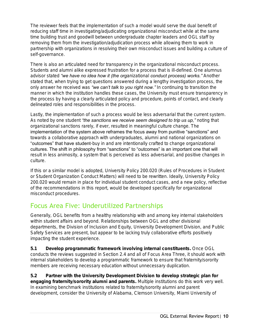The reviewer feels that the implementation of such a model would serve the dual benefit of reducing staff time in investigating/adjudicating organizational misconduct while at the same time building trust and goodwill between undergraduate chapter leaders and OGL staff by removing them from the investigation/adjudication process while allowing them to work in partnership with organizations in resolving their own misconduct issues and building a culture of self-governance.

There is also an articulated need for transparency in the organizational misconduct process. Students and alumni alike expressed frustration for a process that is ill-defined. One alumnus advisor stated *"we have no idea how it (the organizational conduct process) works."* Another stated that, when trying to get questions answered during a lengthy investigation process, the only answer he received was *"we can't talk to you right now."* In continuing to transition the manner in which the institution handles these cases, the University must ensure transparency in the process by having a clearly articulated policy and procedure, points of contact, and clearly delineated roles and responsibilities in the process.

Lastly, the implementation of such a process would be less adversarial that the current system. As noted by one student *"the sanctions we receive seem designed to trip us up,"* noting that organizational sanctions rarely, if ever, resulted in meaningful culture change. The implementation of the system above reframes the focus away from punitive "sanctions" and towards a collaborative approach with undergraduates, alumni and national organizations on "outcomes" that have student-buy in and are intentionally crafted to change organizational cultures. The shift in philosophy from "sanctions" to "outcomes" is an important one that will result in less animosity, a system that is perceived as less adversarial, and positive changes in culture.

If this or a similar model is adopted, University Policy 200.020 (Rules of Procedures in Student or Student Organization Conduct Matters) will need to be rewritten. Ideally, University Policy 200.020 would remain in place for individual student conduct cases, and a new policy, reflective of the recommendations in this report, would be developed specifically for organizational misconduct procedures.

### Focus Area Five: Underutilized Partnerships

Generally, OGL benefits from a healthy relationship with and among key internal stakeholders within student affairs and beyond. Relationships between OGL and other divisional departments, the Division of Inclusion and Equity, University Development Division, and Public Safety Services are present, but appear to be lacking truly collaborative efforts positively impacting the student experience.

5.1 Develop programmatic framework involving internal constituents. Once OGL conducts the reviews suggested in Section 2.4 and all of Focus Area Three, it should work with internal stakeholders to develop a programmatic framework to ensure that fraternity/sorority members are receiving necessary education without unnecessary duplication.

5.2 Partner with the University Development Division to develop strategic plan for engaging fraternity/sorority alumni and parents. Multiple institutions do this work very well. In examining benchmark institutions related to fraternity/sorority alumni and parent development, consider the University of Alabama, Clemson University, Miami University of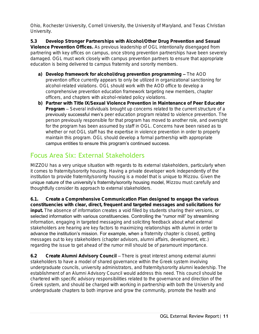Ohio, Rochester University, Cornell University, the University of Maryland, and Texas Christian University.

5.3 Develop Stronger Partnerships with Alcohol/Other Drug Prevention and Sexual Violence Prevention Offices. As previous leadership of OGL intentionally disengaged from partnering with key offices on campus, once strong prevention partnerships have been severely damaged. OGL must work closely with campus prevention partners to ensure that appropriate education is being delivered to campus fraternity and sorority members.

- a) Develop framework for alcohol/drug prevention programming The AOD prevention office currently appears to only be utilized in organizational sanctioning for alcohol-related violations. OGL should work with the AOD office to develop a comprehensive prevention education framework targeting new members, chapter officers, and chapters with alcohol-related policy violations.
- b) Partner with Title IX/Sexual Violence Prevention in Maintenance of Peer Educator Program – Several individuals brought up concerns related to the current structure of a previously successful men's peer education program related to violence prevention. The person previously responsible for that program has moved to another role, and oversight for the program has been assumed by staff in OGL. Concerns have been raised as to whether or not OGL staff has the expertise in violence prevention in order to properly maintain this program. OGL should develop a formal partnership with appropriate campus entities to ensure this program's continued success.

# Focus Area Six: External Stakeholders

MIZZOU has a very unique situation with regards to its external stakeholders, particularly when it comes to fraternity/sorority housing. Having a private developer work independently of the institution to provide fraternity/sorority housing is a model that is unique to Mizzou. Given the unique nature of the university's fraternity/sorority housing model, Mizzou must carefully and thoughtfully consider its approach to external stakeholders.

6.1. Create a Comprehensive Communication Plan designed to engage the various constituencies with clear, direct, frequent and targeted messages and solicitations for input. The absence of information creates a void filled by students sharing their versions, or selected information with various constituencies. Controlling the "rumor mill" by streamlining information, engaging in targeted messaging and soliciting feedback about what external stakeholders are hearing are key factors to maximizing relationships with alumni in order to advance the institution's mission. For example, when a fraternity chapter is closed, getting messages out to key stakeholders (chapter advisors, alumni affairs, development, etc.) regarding the issue to get ahead of the rumor mill should be of paramount importance.

6.2 Create Alumni Advisory Council – There is great interest among external alumni stakeholders to have a model of shared governance within the Greek system involving undergraduate councils, university administrators, and fraternity/sorority alumni leadership. The establishment of an Alumni Advisory Council would address this need. This council should be chartered with specific advisory responsibilities related to the governance and direction of the Greek system, and should be charged with working in partnership with both the University and undergraduate chapters to both improve and grow the community, promote the health and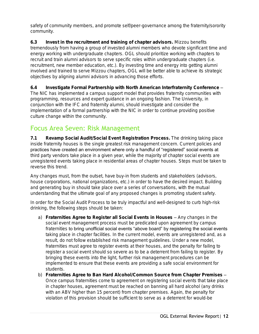safety of community members, and promote self/peer-governance among the fraternity/sorority community.

6.3 Invest in the recruitment and training of chapter advisors. Mizzou benefits tremendously from having a group of invested alumni members who devote significant time and energy working with undergraduate chapters. OGL should prioritize working with chapters to recruit and train alumni advisors to serve specific roles within undergraduate chapters (i.e. recruitment, new member education, etc.). By investing time and energy into getting alumni involved and trained to serve Mizzou chapters, OGL will be better able to achieve its strategic objectives by aligning alumni advisors in advancing those efforts.

6.4 Investigate Formal Partnership with North American Interfraternity Conference – The NIC has implemented a campus support model that provides fraternity communities with programming, resources and expert guidance in an ongoing fashion. The University, in conjunction with the IFC and fraternity alumni, should investigate and consider the implementation of a formal partnership with the NIC in order to continue providing positive culture change within the community.

# Focus Area Seven: Risk Management

7.1 Revamp Social Audit/Social Event Registration Process. The drinking taking place inside fraternity houses is the single greatest risk management concern. Current policies and practices have created an environment where only a handful of "registered" social events at third party vendors take place in a given year, while the majority of chapter social events are unregistered events taking place in residential areas of chapter houses. Steps must be taken to reverse this trend.

Any changes must, from the outset, have buy-in from students and stakeholders (advisors, house corporations, national organizations, etc.) in order to have the desired impact. Building and generating buy in should take place over a series of conversations, with the mutual understanding that the ultimate goal of any proposed changes is promoting student safety.

In order for the Social Audit Process to be truly impactful and well-designed to curb high-risk drinking, the following steps should be taken:

- a) Fraternities Agree to Register all Social Events in Houses Any changes in the social event management process must be predicated upon agreement by campus fraternities to bring unofficial social events "above board" by registering the social events taking place in chapter facilities. In the current model, events are unregistered and, as a result, do not follow established risk management guidelines. Under a new model, fraternities must agree to register events at their houses, and the penalty for failing to register a social event should so severe as to be a deterrent from failing to register. By bringing these events into the light, further risk management procedures can be implemented to ensure that these events are providing a safe social environment for students.
- b) Fraternities Agree to Ban Hard Alcohol/Common Source from Chapter Premises Once campus fraternities come to agreement on registering social events that take place in chapter houses, agreement must be reached on banning all hard alcohol (any drinks with an ABV higher than 15 percent) from chapter premises. Again, the penalty for violation of this provision should be sufficient to serve as a deterrent for would-be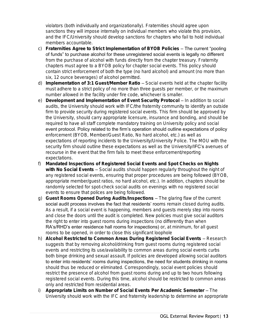violators (both individually and organizationally). Fraternities should agree upon sanctions they will impose internally on individual members who violate this provision, and the IFC/University should develop sanctions for chapters who fail to hold individual members accountable.

- c) Fraternities Agree to Strict Implementation of BYOB Policies The current "pooling of funds" to purchase alcohol for these unregistered social events is legally no different from the purchase of alcohol with funds directly from the chapter treasury. Fraternity chapters must agree to a BYOB policy for chapter social events. This policy should contain strict enforcement of both the type (no hard alcohol) and amount (no more than six, 12 ounce beverages) of alcohol permitted.
- d) Implementation of 3:1 Guest/Member Ratio Social events held at the chapter facility must adhere to a strict policy of no more than three guests per member, or the maximum number allowed in the facility under fire code, whichever is smaller.
- e) Development and Implementation of Event Security Protocol In addition to social audits, the University should work with IFC/the fraternity community to identify an outside firm to provide security during registered social events. This firm should be approved by the University, should carry appropriate licensure, insurance and bonding, and should be required to have all staff complete mandatory training on University policy and social event protocol. Policy related to the firm's operation should outline expectations of policy enforcement (BYOB, Member/Guest Ratio, No hard alcohol, etc.) as well as expectations of reporting incidents to the University/University Police. The MOU with the security firm should outline these expectations as well as the University/IFC's avenues of recourse in the event that the firm fails to meet these enforcement/reporting expectations.
- f) Mandated Inspections of Registered Social Events and Spot Checks on Nights with No Social Events – Social audits should happen regularly throughout the night of any registered social events, ensuring that proper procedures are being followed (BYOB, appropriate member/guest ratios, no hard alcohol, etc.). In addition, chapters should be randomly selected for spot-check social audits on evenings with no registered social events to ensure that polices are being followed.
- g) Guest Rooms Opened During Audits/Inspections The glaring flaw of the current social audit process involves the fact that residents' rooms remain closed during audits. As a result, if a social event is happening, members and guests merely step into rooms and close the doors until the audit is completed. New policies must give social auditors the right to enter into guest rooms during inspections (no differently than when RA's/RHD's enter residence hall rooms for inspections) or, at minimum, for all guest rooms to be opened, in order to close this significant loophole
- h) Alcohol Restricted to Common Areas During Registered Social Events Research suggests that by removing alcohol/drinking from guest rooms during registered social events and restricting its use/availability to common areas during social events curbs both binge drinking and sexual assault. If policies are developed allowing social auditors to enter into residents' rooms during inspections, the need for students drinking in rooms should thus be reduced or eliminated. Correspondingly, social event policies should restrict the presence of alcohol from guest rooms during and up to two hours following registered social events. During this time, alcohol should be restricted to common areas only and restricted from residential areas.
- i) Appropriate Limits on Number of Social Events Per Academic Semester The University should work with the IFC and fraternity leadership to determine an appropriate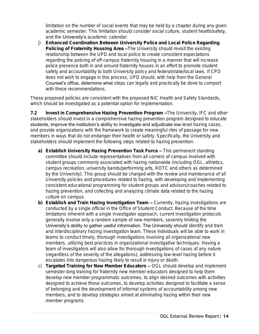limitation on the number of social events that may be held by a chapter during any given academic semester. This limitation should consider social culture, student health/safety, and the University's academic calendar.

j) Enhanced Coordination Between University Police and Local Police Regarding Policing of Fraternity Housing Area –The University should revisit the existing relationship between the UPD and local police to create consistent expectations regarding the policing of off-campus fraternity housing in a manner that will increase police presence both in and around fraternity houses in an effort to promote student safety and accountability to both University policy and federal/state/local laws. If CPD does not wish to engage in this process, UPD should, with help from the General Counsel's office, determine what steps can legally and practically be done to comport with these recommendations.

These proposed policies are consistent with the proposed NIC Health and Safety Standards, which should be investigated as a potential option for implementation.

7.2 Invest in Comprehensive Hazing Prevention Program –The University, IFC and other stakeholders should invest in a comprehensive hazing prevention program designed to educate students, improve the institution's ability to investigate and adjudicate low-level hazing cases, and provide organizations with the framework to create meaningful rites of passage for new members in ways that do not endanger their health or safety. Specifically, the University and stakeholders should implement the following steps related to hazing prevention:

- a) Establish University Hazing Prevention Task Force This permanent standing committee should include representatives from all corners of campus involved with student groups commonly associated with hazing nationwide (including OGL, athletics, campus recreation, university bands/performing arts, ROTC and others as determined by the University). This group should be charged with the review and maintenance of all University policies and procedures related to hazing, with developing and implementing consistent educational programming for student groups and advisors/coaches related to hazing prevention, and collecting and analyzing climate data related to the hazing culture on campus.
- b) Establish and Train Hazing Investigation Team Currently, hazing investigations are conducted by a single official in the Office of Student Conduct. Because of the time limitations inherent with a single investigator approach, current investigation protocols generally involve only a random sample of new members, severely limiting the University's ability to gather useful information. The University should identify and train and interdisciplinary hazing investigation team. These individuals will be able to work in teams to conduct timely, thorough investigations involving all organizational new members, utilizing best practices in organizational investigative techniques. Having a team of investigators will also allow for thorough investigations of cases of any nature (regardless of the severity of the allegations), addressing low-level hazing before it escalates into dangerous hazing likely to result in injury or death.
- c) Targeted Training for New Member Educators OGL should develop and implement semester-long training for fraternity new member educators designed to help them develop new member programmatic outcomes, to align desired outcomes with activities designed to achieve those outcomes, to develop activities designed to facilitate a sense of belonging and the development of informal systems of accountability among new members, and to develop strategies aimed at eliminating hazing within their new member programs.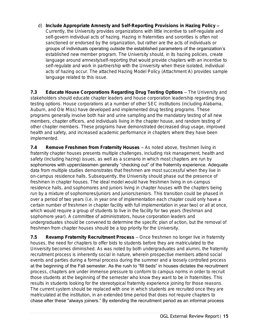d) Include Appropriate Amnesty and Self-Reporting Provisions in Hazing Policy – Currently, the University provides organizations with little incentive to self-regulate and self-govern individual acts of hazing. Hazing in fraternities and sororities is often not sanctioned or endorsed by the organization, but rather are the acts of individuals or groups of individuals operating outside the established parameters of the organization's established new member program. The University should, in its hazing policies, create language around amnesty/self-reporting that would provide chapters with an incentive to self-regulate and work in partnership with the University when these isolated, individual acts of hazing occur. The attached Hazing Model Policy (Attachment A) provides sample language related to this issue.

7.3 Educate House Corporations Regarding Drug Testing Options – The University and stakeholders should educate chapter leaders and house corporation leadership regarding drug testing options. House corporations at a number of other SEC institutions (including Alabama, Auburn, and Ole Miss) have developed and implemented drug testing programs. These programs generally involve both hair and urine sampling and the mandatory testing of all new members, chapter officers, and individuals living in the chapter house, and random testing of other chapter members. These programs have demonstrated decreased drug usage, improved health and safety, and increased academic performance in chapters where they have been implemented.

7.4 Remove Freshmen from Fraternity Houses – As noted above, freshmen living in fraternity chapter houses presents multiple challenges, including risk management, health and safety (including hazing) issues, as well as a scenario in which most chapters are run by sophomores with upperclassmen generally "checking out" of the fraternity experience. Adequate data from multiple studies demonstrates that freshmen are most successful when they live in on-campus residence halls. Subsequently, the University should phase out the presence of freshmen in chapter houses. The ideal model would have freshmen living in on-campus residence halls, and sophomores and juniors living in chapter houses with the chapters being run by a mixture of sophomores/juniors and juniors/seniors. This transition could be phased in over a period of two years (i.e. in year one of implementation each chapter could only have a certain number of freshmen in chapter facility with full implementation in year two) or all at once, which would require a group of students to live in the facility for two years (freshman and sophomore year). A committee of administrators, house corporation leaders and undergraduates should be convened to determine the specific plan of action, but the removal of freshmen from chapter houses should be a top priority for the University.

7.5 Revamp Fraternity Recruitment Process – Once freshmen no longer live in fraternity houses, the need for chapters to offer bids to students before they are matriculated to the University becomes diminished. As was noted by both undergraduates and alumni, the fraternity recruitment process is inherently social in nature, wherein prospective members attend social events and parties during a formal process during the summer and a loosely controlled process at the beginning of the Fall semester. As the rush to "fill beds" in houses dictates the recruitment process, chapters are under immense pressure to conform to campus norms in order to recruit those students at the beginning of the semester who know they want to be in fraternities. This results in students looking for the stereotypical fraternity experience joining for those reasons. The current system should be replaced with one in which students are recruited once they are matriculated at the institution, in an extended time period that does not require chapters to chase after these "always joiners." By extending the recruitment period as an informal process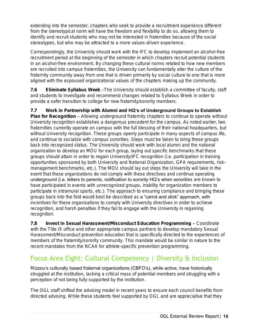extending into the semester, chapters who seek to provide a recruitment experience different from the stereotypical norm will have the freedom and flexibility to do so, allowing them to identify and recruit students who may not be interested in fraternities because of the social stereotypes, but who may be attracted to a more values-driven experience.

Correspondingly, the University should work with the IFC to develop implement an alcohol-free recruitment period at the beginning of the semester in which chapters recruit potential students in an alcohol-free environment. By changing these cultural norms related to how new members are recruited into campus fraternities, the University can fundamentally alter the culture of the fraternity community away from one that is driven primarily by social culture to one that is more aligned with the espoused organizational values of the chapters making up the community.

7.6 Eliminate Syllabus Week –The University should establish a committee of faculty, staff and students to investigate and recommend changes related to Syllabus Week in order to provide a safer transition to college for new fraternity/sorority members.

7.7 Work in Partnership with Alumni and **HQ's of Underground Groups to Establish** Plan for Recognition – Allowing underground fraternity chapters to continue to operate without University recognition establishes a dangerous precedent for the campus. As noted earlier, two fraternities currently operate on campus with the full blessing of their national headquarters, but without University recognition. These groups openly participate in many aspects of campus life, and continue to socialize with campus sororities. Steps must be taken to bring these groups back into recognized status. The University should work with local alumni and the national organization to develop an MOU for each group, laying out specific benchmarks that these groups should attain in order to regain University/IFC recognition (i.e. participation in training opportunities sponsored by both University and National Organization, GPA requirements, riskmanagement benchmarks, etc.). The MOU should lay out steps the University will take in the event that these organizations do not comply with these directives and continue operating underground (i.e. letters to parents, notification to sorority HQ's when sororities are known to have participated in events with unrecognized groups, inability for organization members to participate in intramural sports, etc.). The approach to ensuring compliance and bringing these groups back into the fold would best be described as a "carrot and stick" approach, with incentives for these organizations to comply with University directives in order to achieve recognition, and harsh penalties if they fail to engage with the University in regaining recognition.

7.8 Invest in Sexual Harassment/Misconduct Education Programming – Coordinate with the Title IX office and other appropriate campus partners to develop mandatory Sexual Harassment/Misconduct prevention education that is specifically directed to the experiences of members of the fraternity/sorority community. This mandate would be similar in nature to the recent mandates from the NCAA for athlete-specific prevention programming.

# Focus Area Eight: Cultural Competency | Diversity & Inclusion

Mizzou's culturally based fraternal organizations (CBFO's), while active, have historically struggled at the institution, lacking a critical mass of potential members and struggling with a perception of not being fully supported by the institution.

The OGL staff shifted the advising model in recent years to ensure each council benefits from directed advising. While these students feel supported by OGL and are appreciative that they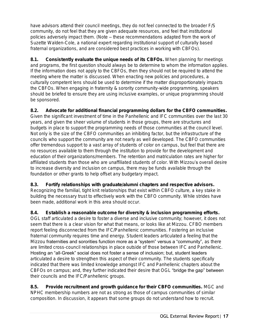have advisors attend their council meetings, they do not feel connected to the broader F/S community, do not feel that they are given adequate resources, and feel that institutional policies adversely impact them. (Note – these recommendations adapted from the work of Suzette Walden-Cole, a national expert regarding institutional support of culturally based fraternal organizations, and are considered best practices in working with CBFOs).

8.1. Consistently evaluate the unique needs of its CBFOs. When planning for meetings and programs, the first question should always be to determine to whom the information applies. If the information does not apply to the CBFOs, then they should not be required to attend the meeting where the matter is discussed. When enacting new policies and procedures, a culturally competent lens should be used to determine if the matter disproportionately impacts the CBFOs. When engaging in fraternity & sorority community-wide programming, speakers should be briefed to ensure they are using inclusive examples, or unique programming should be sponsored.

8.2. Advocate for additional financial programming dollars for the CBFO communities. Given the significant investment of time in the Panhellenic and IFC communities over the last 30 years, and given the sheer volume of students in those groups, there are structures and budgets in place to support the programming needs of those communities at the council level. Not only is the size of the CBFO communities an inhibiting factor, but the infrastructure of the councils who support the community are not nearly as well developed. The CBFO communities offer tremendous support to a vast array of students of color on campus, but feel that there are no resources available to them through the institution to provide for the development and education of their organizations/members. The retention and matriculation rates are higher for affiliated students than those who are unaffiliated students of color. With Mizzou's overall desire to increase diversity and inclusion on campus, there may be funds available through the foundation or other grants to help offset any budgetary impact.

8.3. Fortify relationships with graduate/alumni chapters and respective advisors. Recognizing the familial, tight knit relationships that exist within CBFO culture, a key stake in building the necessary trust to effectively work with the CBFO community. While strides have been made, additional work in this area should occur.

8.4. Establish a reasonable outcome for diversity & inclusion programming efforts. OGL staff articulated a desire to foster a diverse and inclusive community; however, it does not seem that there is a clear vision for what that means, or looks like at Mizzou. CFBO members report feeling disconnected from the IFC/Panhellenic communities. Fostering an inclusive fraternal community requires time and energy. Student leaders articulated a feeling that the Mizzou fraternities and sororities function more as a "system" versus a "community", as there are limited cross-council relationships in place outside of those between IFC and Panhellenic. Hosting an "all-Greek" social does not foster a sense of inclusion; but, student leaders articulated a desire to strengthen this aspect of their community. The students specifically indicated that there was limited knowledge amongst IFC and Panhellenic chapters about the CBFOs on campus; and, they further indicated their desire that OGL "bridge the gap" between their councils and the IFC/Panhellenic groups.

8.5. Provide recruitment and growth guidance for their CBFO communities. MGC and NPHC membership numbers are not as strong as those of campus communities of similar composition. In discussion, it appears that some groups do not understand how to recruit.